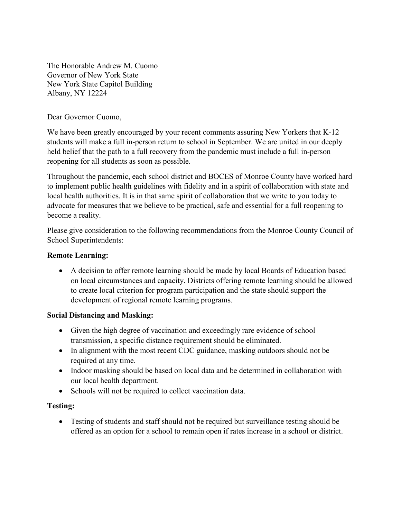The Honorable Andrew M. Cuomo Governor of New York State New York State Capitol Building Albany, NY 12224

Dear Governor Cuomo,

We have been greatly encouraged by your recent comments assuring New Yorkers that K-12 students will make a full in-person return to school in September. We are united in our deeply held belief that the path to a full recovery from the pandemic must include a full in-person reopening for all students as soon as possible.

Throughout the pandemic, each school district and BOCES of Monroe County have worked hard to implement public health guidelines with fidelity and in a spirit of collaboration with state and local health authorities. It is in that same spirit of collaboration that we write to you today to advocate for measures that we believe to be practical, safe and essential for a full reopening to become a reality.

Please give consideration to the following recommendations from the Monroe County Council of School Superintendents:

### **Remote Learning:**

• A decision to offer remote learning should be made by local Boards of Education based on local circumstances and capacity. Districts offering remote learning should be allowed to create local criterion for program participation and the state should support the development of regional remote learning programs.

# **Social Distancing and Masking:**

- Given the high degree of vaccination and exceedingly rare evidence of school transmission, a specific distance requirement should be eliminated.
- In alignment with the most recent CDC guidance, masking outdoors should not be required at any time.
- Indoor masking should be based on local data and be determined in collaboration with our local health department.
- Schools will not be required to collect vaccination data.

# **Testing:**

• Testing of students and staff should not be required but surveillance testing should be offered as an option for a school to remain open if rates increase in a school or district.